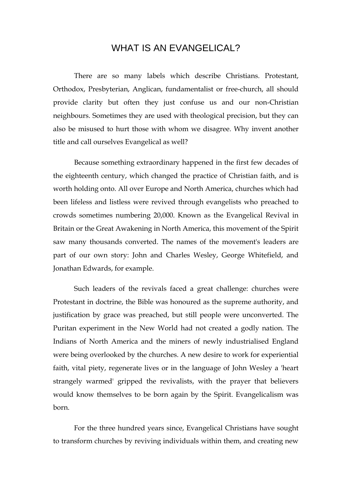## WHAT IS AN EVANGELICAL?

There are so many labels which describe Christians. Protestant, Orthodox, Presbyterian, Anglican, fundamentalist or free-church, all should provide clarity but often they just confuse us and our non-Christian neighbours. Sometimes they are used with theological precision, but they can also be misused to hurt those with whom we disagree. Why invent another title and call ourselves Evangelical as well?

Because something extraordinary happened in the first few decades of the eighteenth century, which changed the practice of Christian faith, and is worth holding onto. All over Europe and North America, churches which had been lifeless and listless were revived through evangelists who preached to crowds sometimes numbering 20,000. Known as the Evangelical Revival in Britain or the Great Awakening in North America, this movement of the Spirit saw many thousands converted. The names of the movement's leaders are part of our own story: John and Charles Wesley, George Whitefield, and Jonathan Edwards, for example.

Such leaders of the revivals faced a great challenge: churches were Protestant in doctrine, the Bible was honoured as the supreme authority, and justification by grace was preached, but still people were unconverted. The Puritan experiment in the New World had not created a godly nation. The Indians of North America and the miners of newly industrialised England were being overlooked by the churches. A new desire to work for experiential faith, vital piety, regenerate lives or in the language of John Wesley a 'heart strangely warmed' gripped the revivalists, with the prayer that believers would know themselves to be born again by the Spirit. Evangelicalism was born.

For the three hundred years since, Evangelical Christians have sought to transform churches by reviving individuals within them, and creating new